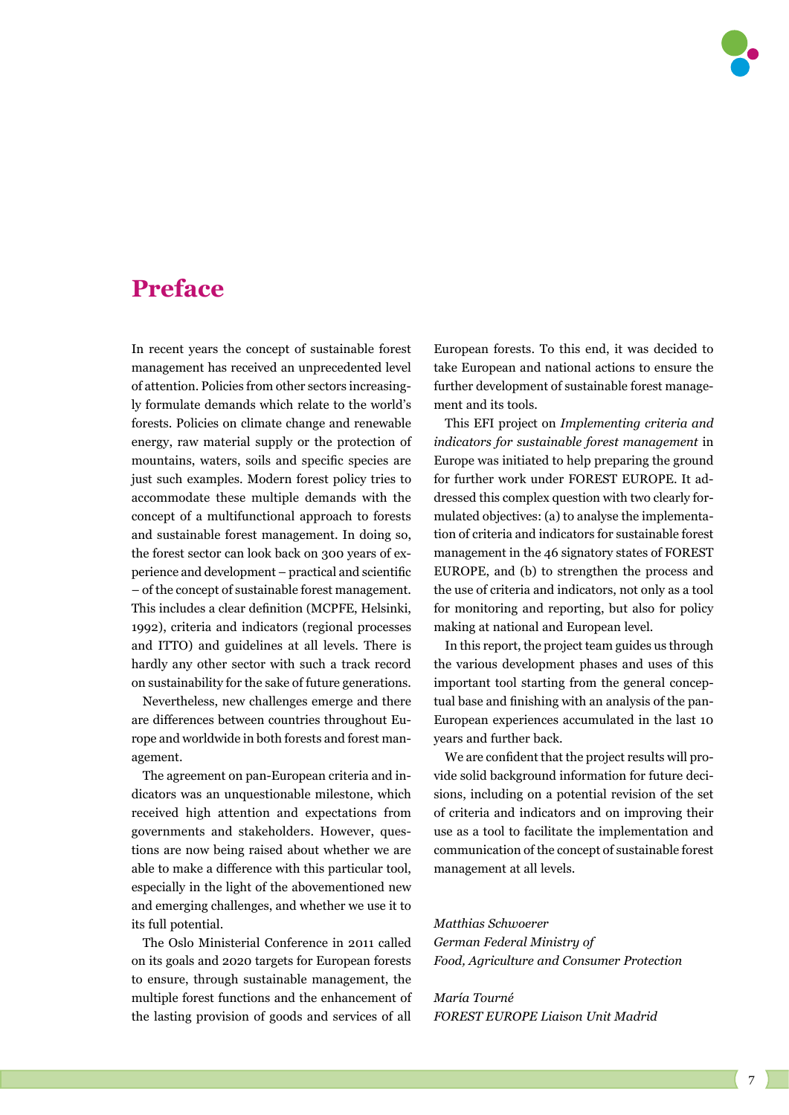## **Preface**

In recent years the concept of sustainable forest management has received an unprecedented level of attention. Policies from other sectors increasingly formulate demands which relate to the world's forests. Policies on climate change and renewable energy, raw material supply or the protection of mountains, waters, soils and specific species are just such examples. Modern forest policy tries to accommodate these multiple demands with the concept of a multifunctional approach to forests and sustainable forest management. In doing so, the forest sector can look back on 300 years of experience and development – practical and scientific – of the concept of sustainable forest management. This includes a clear definition (MCPFE, Helsinki, 1992), criteria and indicators (regional processes and ITTO) and guidelines at all levels. There is hardly any other sector with such a track record on sustainability for the sake of future generations.

Nevertheless, new challenges emerge and there are differences between countries throughout Europe and worldwide in both forests and forest management.

The agreement on pan-European criteria and indicators was an unquestionable milestone, which received high attention and expectations from governments and stakeholders. However, questions are now being raised about whether we are able to make a difference with this particular tool, especially in the light of the abovementioned new and emerging challenges, and whether we use it to its full potential.

The Oslo Ministerial Conference in 2011 called on its goals and 2020 targets for European forests to ensure, through sustainable management, the multiple forest functions and the enhancement of the lasting provision of goods and services of all European forests. To this end, it was decided to take European and national actions to ensure the further development of sustainable forest management and its tools.

This EFI project on *Implementing criteria and indicators for sustainable forest management* in Europe was initiated to help preparing the ground for further work under FOREST EUROPE. It addressed this complex question with two clearly formulated objectives: (a) to analyse the implementation of criteria and indicators for sustainable forest management in the 46 signatory states of FOREST EUROPE, and (b) to strengthen the process and the use of criteria and indicators, not only as a tool for monitoring and reporting, but also for policy making at national and European level.

In this report, the project team guides us through the various development phases and uses of this important tool starting from the general conceptual base and finishing with an analysis of the pan-European experiences accumulated in the last 10 years and further back.

We are confident that the project results will provide solid background information for future decisions, including on a potential revision of the set of criteria and indicators and on improving their use as a tool to facilitate the implementation and communication of the concept of sustainable forest management at all levels.

*Matthias Schwoerer German Federal Ministry of Food, Agriculture and Consumer Protection*

*María Tourné FOREST EUROPE Liaison Unit Madrid*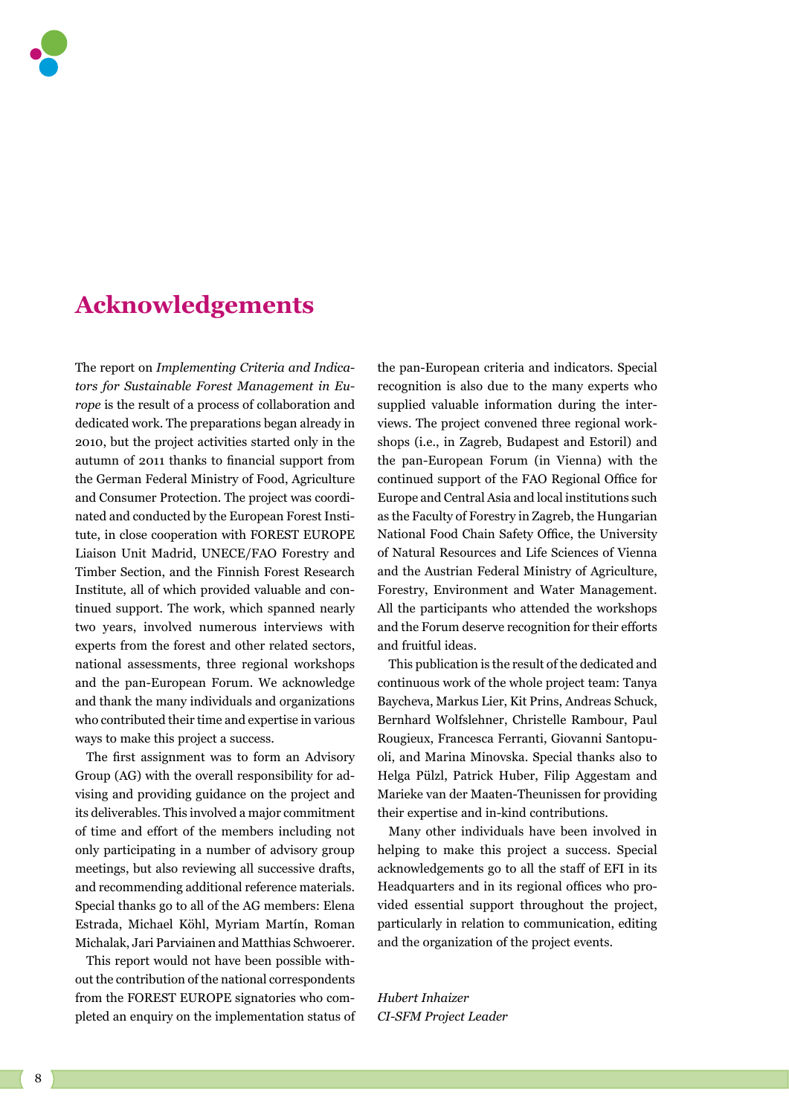

## **Acknowledgements**

The report on *Implementing Criteria and Indicators for Sustainable Forest Management in Europe* is the result of a process of collaboration and dedicated work. The preparations began already in 2010, but the project activities started only in the autumn of 2011 thanks to financial support from the German Federal Ministry of Food, Agriculture and Consumer Protection. The project was coordinated and conducted by the European Forest Institute, in close cooperation with FOREST EUROPE Liaison Unit Madrid, UNECE/FAO Forestry and Timber Section, and the Finnish Forest Research Institute, all of which provided valuable and continued support. The work, which spanned nearly two years, involved numerous interviews with experts from the forest and other related sectors, national assessments, three regional workshops and the pan-European Forum. We acknowledge and thank the many individuals and organizations who contributed their time and expertise in various ways to make this project a success.

The first assignment was to form an Advisory Group (AG) with the overall responsibility for advising and providing guidance on the project and its deliverables. This involved a major commitment of time and effort of the members including not only participating in a number of advisory group meetings, but also reviewing all successive drafts, and recommending additional reference materials. Special thanks go to all of the AG members: Elena Estrada, Michael Köhl, Myriam Martín, Roman Michalak, Jari Parviainen and Matthias Schwoerer.

This report would not have been possible without the contribution of the national correspondents from the FOREST EUROPE signatories who completed an enquiry on the implementation status of the pan-European criteria and indicators. Special recognition is also due to the many experts who supplied valuable information during the interviews. The project convened three regional workshops (i.e., in Zagreb, Budapest and Estoril) and the pan-European Forum (in Vienna) with the continued support of the FAO Regional Office for Europe and Central Asia and local institutions such as the Faculty of Forestry in Zagreb, the Hungarian National Food Chain Safety Office, the University of Natural Resources and Life Sciences of Vienna and the Austrian Federal Ministry of Agriculture, Forestry, Environment and Water Management. All the participants who attended the workshops and the Forum deserve recognition for their efforts and fruitful ideas.

This publication is the result of the dedicated and continuous work of the whole project team: Tanya Baycheva, Markus Lier, Kit Prins, Andreas Schuck, Bernhard Wolfslehner, Christelle Rambour, Paul Rougieux, Francesca Ferranti, Giovanni Santopuoli, and Marina Minovska. Special thanks also to Helga Pülzl, Patrick Huber, Filip Aggestam and Marieke van der Maaten-Theunissen for providing their expertise and in-kind contributions.

Many other individuals have been involved in helping to make this project a success. Special acknowledgements go to all the staff of EFI in its Headquarters and in its regional offices who provided essential support throughout the project, particularly in relation to communication, editing and the organization of the project events.

*Hubert Inhaizer CI-SFM Project Leader*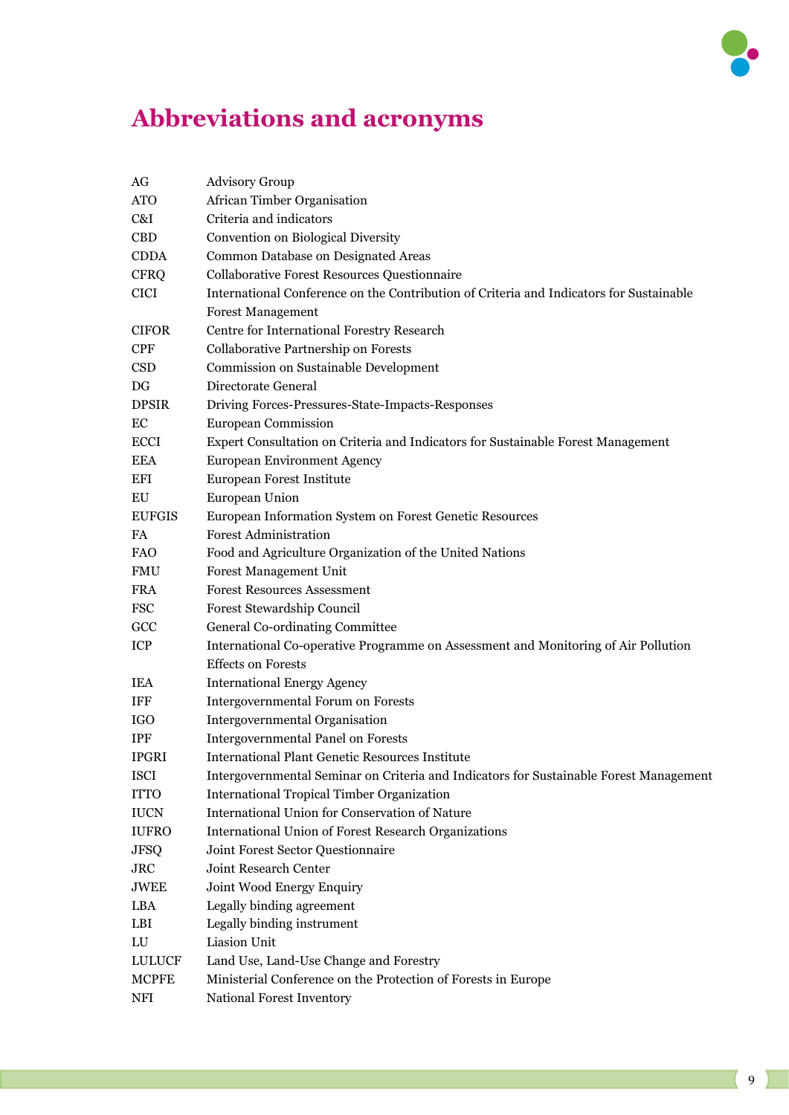

## **Abbreviations and acronyms**

| AG            | <b>Advisory Group</b>                                                                   |
|---------------|-----------------------------------------------------------------------------------------|
| <b>ATO</b>    | <b>African Timber Organisation</b>                                                      |
| C&I           | Criteria and indicators                                                                 |
| <b>CBD</b>    | Convention on Biological Diversity                                                      |
| <b>CDDA</b>   | Common Database on Designated Areas                                                     |
| <b>CFRQ</b>   | Collaborative Forest Resources Questionnaire                                            |
| <b>CICI</b>   | International Conference on the Contribution of Criteria and Indicators for Sustainable |
|               | <b>Forest Management</b>                                                                |
| <b>CIFOR</b>  | Centre for International Forestry Research                                              |
| <b>CPF</b>    | Collaborative Partnership on Forests                                                    |
| <b>CSD</b>    | Commission on Sustainable Development                                                   |
| DG            | Directorate General                                                                     |
| <b>DPSIR</b>  | Driving Forces-Pressures-State-Impacts-Responses                                        |
| EC            | <b>European Commission</b>                                                              |
| <b>ECCI</b>   | Expert Consultation on Criteria and Indicators for Sustainable Forest Management        |
| <b>EEA</b>    | European Environment Agency                                                             |
| <b>EFI</b>    | European Forest Institute                                                               |
| EU            | European Union                                                                          |
| <b>EUFGIS</b> | European Information System on Forest Genetic Resources                                 |
| FA            | <b>Forest Administration</b>                                                            |
| <b>FAO</b>    | Food and Agriculture Organization of the United Nations                                 |
| <b>FMU</b>    | <b>Forest Management Unit</b>                                                           |
| <b>FRA</b>    | <b>Forest Resources Assessment</b>                                                      |
| <b>FSC</b>    | Forest Stewardship Council                                                              |
| GCC           | General Co-ordinating Committee                                                         |
| ICP           | International Co-operative Programme on Assessment and Monitoring of Air Pollution      |
|               | <b>Effects on Forests</b>                                                               |
| <b>IEA</b>    | <b>International Energy Agency</b>                                                      |
| <b>IFF</b>    | Intergovernmental Forum on Forests                                                      |
| <b>IGO</b>    | Intergovernmental Organisation                                                          |
| <b>IPF</b>    | <b>Intergovernmental Panel on Forests</b>                                               |
| <b>IPGRI</b>  | <b>International Plant Genetic Resources Institute</b>                                  |
| <b>ISCI</b>   | Intergovernmental Seminar on Criteria and Indicators for Sustainable Forest Management  |
| <b>ITTO</b>   | <b>International Tropical Timber Organization</b>                                       |
| <b>IUCN</b>   | International Union for Conservation of Nature                                          |
| <b>IUFRO</b>  | <b>International Union of Forest Research Organizations</b>                             |
| <b>JFSQ</b>   | Joint Forest Sector Questionnaire                                                       |
| ${\rm JRC}$   | Joint Research Center                                                                   |
| JWEE          | Joint Wood Energy Enquiry                                                               |
| LBA           | Legally binding agreement                                                               |
| LBI           | Legally binding instrument                                                              |
| LU            | Liasion Unit                                                                            |
| <b>LULUCF</b> | Land Use, Land-Use Change and Forestry                                                  |
| <b>MCPFE</b>  | Ministerial Conference on the Protection of Forests in Europe                           |
| NFI           | National Forest Inventory                                                               |